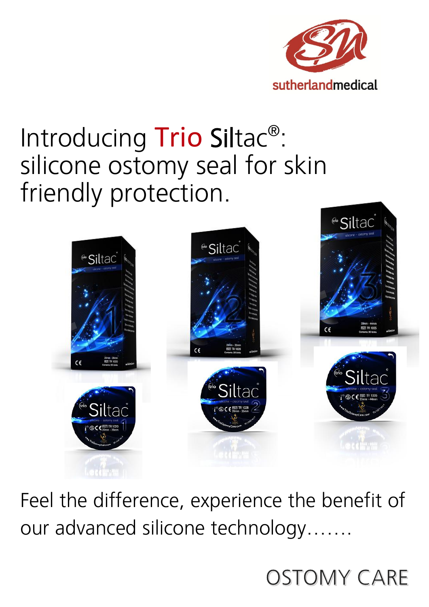

# Introducing Trio Siltac<sup>®</sup>: silicone ostomy seal for skin friendly protection.



Feel the difference, experience the benefit of our advanced silicone technology.......

## **OSTOMY CARE**